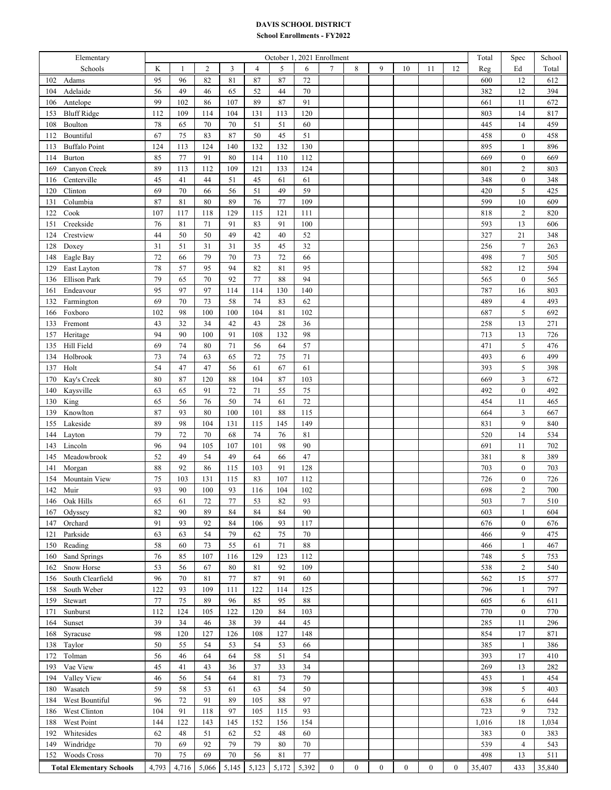## **DAVIS SCHOOL DISTRICT**

## **School Enrollments - FY2022**

| Elementary                      | October 1, 2021 Enrollment |              |                |       |        |       |             |                  |                  |                  |              |          | Total        | Spec   | School           |        |
|---------------------------------|----------------------------|--------------|----------------|-------|--------|-------|-------------|------------------|------------------|------------------|--------------|----------|--------------|--------|------------------|--------|
| Schools                         | K                          | $\mathbf{1}$ | $\mathfrak{2}$ | 3     | 4      | 5     | 6           | $\tau$           | 8                | 9                | 10           | 11       | 12           | Reg    | Ed               | Total  |
| 102<br>Adams                    | 95                         | 96           | 82             | 81    | 87     | 87    | 72          |                  |                  |                  |              |          |              | 600    | 12               | 612    |
| 104<br>Adelaide                 | 56                         | 49           | 46             | 65    | 52     | 44    | $70\,$      |                  |                  |                  |              |          |              | 382    | 12               | 394    |
| Antelope<br>106                 | 99                         | 102          | 86             | 107   | 89     | 87    | 91          |                  |                  |                  |              |          |              | 661    | 11               | 672    |
| <b>Bluff Ridge</b><br>153       | 112                        | 109          | 114            | 104   | 131    | 113   | 120         |                  |                  |                  |              |          |              | 803    | 14               | 817    |
| 108<br>Boulton                  | 78                         | 65           | 70             | 70    | 51     | 51    | 60          |                  |                  |                  |              |          |              | 445    | 14               | 459    |
| Bountiful<br>112                | 67                         | 75           | 83             | 87    | 50     | 45    | 51          |                  |                  |                  |              |          |              | 458    | $\boldsymbol{0}$ | 458    |
| <b>Buffalo Point</b><br>113     | 124                        | 113          | 124            | 140   | 132    | 132   | 130         |                  |                  |                  |              |          |              | 895    | $\mathbf{1}$     | 896    |
| Burton<br>114                   | 85                         | 77           | 91             | 80    | 114    | 110   | 112         |                  |                  |                  |              |          |              | 669    | $\boldsymbol{0}$ | 669    |
| 169<br>Canyon Creek             | 89                         | 113          | 112            | 109   | 121    | 133   | 124         |                  |                  |                  |              |          |              | 801    | $\sqrt{2}$       | 803    |
| Centerville<br>116              | 45                         | 41           | 44             | 51    | 45     | 61    | 61          |                  |                  |                  |              |          |              | 348    | $\boldsymbol{0}$ | 348    |
| Clinton<br>120                  | 69                         | 70           | 66             | 56    | 51     | 49    | 59          |                  |                  |                  |              |          |              | 420    | 5                | 425    |
| Columbia<br>131                 | 87                         | 81           | 80             | 89    | 76     | 77    | 109         |                  |                  |                  |              |          |              | 599    | 10               | 609    |
| Cook<br>122                     | 107                        | 117          | 118            | 129   | 115    | 121   | 111         |                  |                  |                  |              |          |              | 818    | $\overline{2}$   | 820    |
| Creekside<br>151                | 76                         | 81           | 71             | 91    | 83     | 91    | 100         |                  |                  |                  |              |          |              | 593    | 13               | 606    |
| Crestview<br>124                | 44                         | 50           | 50             | 49    | 42     | 40    | 52          |                  |                  |                  |              |          |              | 327    | $21\,$           | 348    |
| 128<br>Doxey                    | 31                         | 51           | 31             | 31    | 35     | 45    | 32          |                  |                  |                  |              |          |              | 256    | $\boldsymbol{7}$ | 263    |
| Eagle Bay<br>148                | 72                         | 66           | 79             | 70    | 73     | 72    | 66          |                  |                  |                  |              |          |              | 498    | $\boldsymbol{7}$ | 505    |
| 129<br>East Layton              | 78                         | 57           | 95             | 94    | 82     | 81    | 95          |                  |                  |                  |              |          |              | 582    | 12               | 594    |
| <b>Ellison Park</b><br>136      | 79                         | 65           | 70             | 92    | 77     | 88    | 94          |                  |                  |                  |              |          |              | 565    | $\boldsymbol{0}$ | 565    |
| Endeavour<br>161                | 95                         | 97           | 97             | 114   | 114    | 130   | 140         |                  |                  |                  |              |          |              | 787    | 16               | 803    |
| Farmington<br>132               | 69                         | 70           | 73             | 58    | 74     | 83    | 62          |                  |                  |                  |              |          |              | 489    | $\overline{4}$   | 493    |
| 166<br>Foxboro                  | 102                        | 98           | 100            | 100   | 104    | 81    | 102         |                  |                  |                  |              |          |              | 687    | $\sqrt{5}$       | 692    |
| Fremont<br>133                  | 43                         | 32           | 34             | 42    | 43     | 28    | 36          |                  |                  |                  |              |          |              | 258    | 13               | 271    |
| Heritage<br>157                 | 94                         | 90           | 100            | 91    | 108    | 132   | 98          |                  |                  |                  |              |          |              | 713    | 13               | 726    |
| Hill Field<br>135               | 69                         | 74           | 80             | 71    | 56     | 64    | 57          |                  |                  |                  |              |          |              | 471    | $\sqrt{5}$       | 476    |
| Holbrook<br>134                 | 73                         | 74           | 63             | 65    | 72     | 75    | $71\,$      |                  |                  |                  |              |          |              | 493    | 6                | 499    |
| Holt<br>137                     | 54                         | 47           | 47             | 56    | 61     | 67    | 61          |                  |                  |                  |              |          |              | 393    | 5                | 398    |
| Kay's Creek<br>170              | $80\,$                     | 87           | 120            | 88    | 104    | 87    | 103         |                  |                  |                  |              |          |              | 669    | $\mathfrak{Z}$   | 672    |
| Kaysville<br>140                | 63                         | 65           | 91             | 72    | $71\,$ | 55    | 75          |                  |                  |                  |              |          |              | 492    | $\boldsymbol{0}$ | 492    |
| King<br>130                     | 65                         | 56           | 76             | 50    | $74\,$ | 61    | 72          |                  |                  |                  |              |          |              | 454    | 11               | 465    |
| Knowlton<br>139                 | 87                         | 93           | 80             | 100   | 101    | 88    | 115         |                  |                  |                  |              |          |              | 664    | $\mathfrak{Z}$   | 667    |
| Lakeside<br>155                 | 89                         | 98           | 104            | 131   | 115    | 145   | 149         |                  |                  |                  |              |          |              | 831    | 9                | 840    |
| 144<br>Layton                   | 79                         | 72           | 70             | 68    | 74     | 76    | $8\sqrt{1}$ |                  |                  |                  |              |          |              | 520    | 14               | 534    |
| 143<br>Lincoln                  | 96                         | 94           | 105            | 107   | 101    | 98    | 90          |                  |                  |                  |              |          |              | 691    | 11               | 702    |
| 145<br>Meadowbrook              | 52                         | 49           | 54             | 49    | 64     | 66    | 47          |                  |                  |                  |              |          |              | 381    | $\,$ 8 $\,$      | 389    |
| 141<br>Morgan                   | 88                         | 92           | 86             | 115   | 103    | 91    | 128         |                  |                  |                  |              |          |              | 703    | $\boldsymbol{0}$ | 703    |
| Mountain View<br>154            | 75                         | 103          | 131            | 115   | 83     | 107   | 112         |                  |                  |                  |              |          |              | 726    | $\boldsymbol{0}$ | 726    |
| 142<br>Muir                     | 93                         | 90           | 100            | 93    | 116    | 104   | 102         |                  |                  |                  |              |          |              | 698    | $\overline{2}$   | 700    |
| Oak Hills<br>146                | 65                         | 61           | 72             | 77    | 53     | 82    | 93          |                  |                  |                  |              |          |              | 503    | 7                | 510    |
| 167<br>Odyssey                  | 82                         | 90           | 89             | 84    | 84     | 84    | 90          |                  |                  |                  |              |          |              | 603    | 1                | 604    |
| 147<br>Orchard                  | 91                         | 93           | 92             | 84    | 106    | 93    | 117         |                  |                  |                  |              |          |              | 676    | $\mathbf{0}$     | 676    |
| Parkside<br>121                 | 63                         | 63           | 54             | 79    | 62     | 75    | 70          |                  |                  |                  |              |          |              | 466    | 9                | 475    |
| Reading<br>150                  | 58                         | 60           | 73             | 55    | 61     | 71    | 88          |                  |                  |                  |              |          |              | 466    | $\mathbf{1}$     | 467    |
| Sand Springs<br>160             | 76                         | 85           | 107            | 116   | 129    | 123   | 112         |                  |                  |                  |              |          |              | 748    | 5                | 753    |
| Snow Horse<br>162               | 53                         | 56           | 67             | 80    | 81     | 92    | 109         |                  |                  |                  |              |          |              | 538    | $\overline{2}$   | 540    |
| South Clearfield<br>156         | 96                         | 70           | 81             | 77    | 87     | 91    | 60          |                  |                  |                  |              |          |              | 562    | 15               | 577    |
| South Weber<br>158              | 122                        | 93           | 109            | 111   | 122    | 114   | 125         |                  |                  |                  |              |          |              | 796    | $\mathbf{1}$     | 797    |
| 159<br>Stewart                  | 77                         | 75           | 89             | 96    | 85     | 95    | 88          |                  |                  |                  |              |          |              | 605    | 6                | 611    |
| Sunburst<br>171                 | 112                        | 124          | 105            | 122   | 120    | 84    | 103         |                  |                  |                  |              |          |              | 770    | $\bf{0}$         | 770    |
| Sunset<br>164                   | 39                         | 34           | 46             | 38    | 39     | 44    | 45          |                  |                  |                  |              |          |              | 285    | 11               | 296    |
| 168<br>Syracuse                 | 98                         | 120          | 127            | 126   | 108    | 127   | 148         |                  |                  |                  |              |          |              | 854    | 17               | 871    |
| Taylor<br>138                   | 50                         | 55           | 54             | 53    | 54     | 53    | 66          |                  |                  |                  |              |          |              | 385    | $\mathbf{1}$     | 386    |
| Tolman<br>172                   | 56                         | 46           | 64             | 64    | 58     | 51    | 54          |                  |                  |                  |              |          |              | 393    | 17               | 410    |
| Vae View<br>193                 | 45                         | 41           | 43             | 36    | 37     | 33    | 34          |                  |                  |                  |              |          |              | 269    | 13               | 282    |
| Valley View<br>194              | 46                         | 56           | 54             | 64    | 81     | 73    | 79          |                  |                  |                  |              |          |              | 453    | 1                | 454    |
| 180<br>Wasatch                  | 59                         | 58           | 53             | 61    | 63     | 54    | 50          |                  |                  |                  |              |          |              | 398    | 5                | 403    |
| West Bountiful<br>184           | 96                         | 72           | 91             | 89    | 105    | 88    | 97          |                  |                  |                  |              |          |              | 638    | 6                | 644    |
| West Clinton<br>186             | 104                        | 91           | 118            | 97    | 105    | 115   | 93          |                  |                  |                  |              |          |              | 723    | 9                | 732    |
| 188<br>West Point               | 144                        | 122          | 143            | 145   | 152    | 156   | 154         |                  |                  |                  |              |          |              | 1,016  | 18               | 1,034  |
| Whitesides<br>192               | 62                         | 48           | 51             | 62    | 52     | 48    | 60          |                  |                  |                  |              |          |              | 383    | $\boldsymbol{0}$ | 383    |
| 149<br>Windridge                | 70                         | 69           | 92             | 79    | 79     | 80    | 70          |                  |                  |                  |              |          |              | 539    | $\overline{4}$   | 543    |
| <b>Woods Cross</b><br>152       | 70                         | 75           | 69             | 70    | 56     | 81    | $77 \,$     |                  |                  |                  |              |          |              | 498    | 13               | 511    |
| <b>Total Elementary Schools</b> | 4,793                      | 4,716        | 5,066          | 5,145 | 5,123  | 5,172 | 5,392       | $\boldsymbol{0}$ | $\boldsymbol{0}$ | $\boldsymbol{0}$ | $\mathbf{0}$ | $\bf{0}$ | $\mathbf{0}$ | 35,407 | 433              | 35,840 |